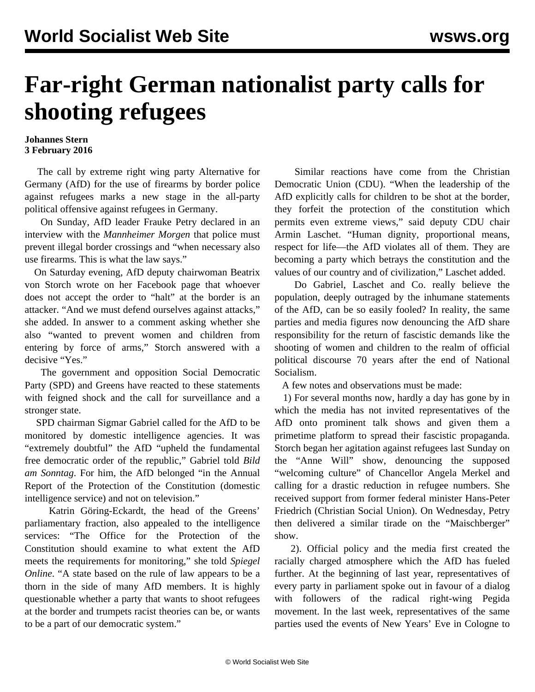## **Far-right German nationalist party calls for shooting refugees**

## **Johannes Stern 3 February 2016**

 The call by extreme right wing party Alternative for Germany (AfD) for the use of firearms by border police against refugees marks a new stage in the all-party political offensive against refugees in Germany.

 On Sunday, AfD leader Frauke Petry declared in an interview with the *Mannheimer Morgen* that police must prevent illegal border crossings and "when necessary also use firearms. This is what the law says."

 On Saturday evening, AfD deputy chairwoman Beatrix von Storch wrote on her Facebook page that whoever does not accept the order to "halt" at the border is an attacker. "And we must defend ourselves against attacks," she added. In answer to a comment asking whether she also "wanted to prevent women and children from entering by force of arms," Storch answered with a decisive "Yes."

 The government and opposition Social Democratic Party (SPD) and Greens have reacted to these statements with feigned shock and the call for surveillance and a stronger state.

 SPD chairman Sigmar Gabriel called for the AfD to be monitored by domestic intelligence agencies. It was "extremely doubtful" the AfD "upheld the fundamental free democratic order of the republic," Gabriel told *Bild am Sonntag*. For him, the AfD belonged "in the Annual Report of the Protection of the Constitution (domestic intelligence service) and not on television."

 Katrin Göring-Eckardt, the head of the Greens' parliamentary fraction, also appealed to the intelligence services: "The Office for the Protection of the Constitution should examine to what extent the AfD meets the requirements for monitoring," she told *Spiegel Online*. "A state based on the rule of law appears to be a thorn in the side of many AfD members. It is highly questionable whether a party that wants to shoot refugees at the border and trumpets racist theories can be, or wants to be a part of our democratic system."

 Similar reactions have come from the Christian Democratic Union (CDU). "When the leadership of the AfD explicitly calls for children to be shot at the border, they forfeit the protection of the constitution which permits even extreme views," said deputy CDU chair Armin Laschet. "Human dignity, proportional means, respect for life—the AfD violates all of them. They are becoming a party which betrays the constitution and the values of our country and of civilization," Laschet added.

 Do Gabriel, Laschet and Co. really believe the population, deeply outraged by the inhumane statements of the AfD, can be so easily fooled? In reality, the same parties and media figures now denouncing the AfD share responsibility for the return of fascistic demands like the shooting of women and children to the realm of official political discourse 70 years after the end of National Socialism.

A few notes and observations must be made:

 1) For several months now, hardly a day has gone by in which the media has not invited representatives of the AfD onto prominent talk shows and given them a primetime platform to spread their fascistic propaganda. Storch began her agitation against refugees last Sunday on the "Anne Will" show, denouncing the supposed "welcoming culture" of Chancellor Angela Merkel and calling for a drastic reduction in refugee numbers. She received support from former federal minister Hans-Peter Friedrich (Christian Social Union). On Wednesday, Petry then delivered a similar tirade on the "Maischberger" show.

 2). Official policy and the media first created the racially charged atmosphere which the AfD has fueled further. At the beginning of last year, representatives of every party in parliament spoke out in favour of a dialog with followers of the radical right-wing Pegida movement. In the last week, representatives of the same parties used the events of New Years' Eve in Cologne to